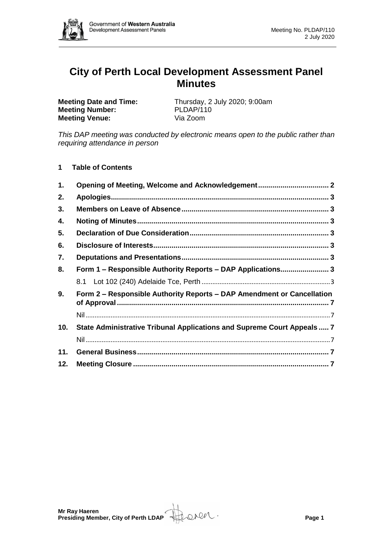

# **City of Perth Local Development Assessment Panel Minutes**

**Meeting Number: Meeting Venue:** Via Zoom

**Meeting Date and Time:** Thursday, 2 July 2020; 9:00am<br> **Meeting Number:** PLDAP/110

*This DAP meeting was conducted by electronic means open to the public rather than requiring attendance in person*

**1 Table of Contents**

| 1.  | Opening of Meeting, Welcome and Acknowledgement 2                       |  |
|-----|-------------------------------------------------------------------------|--|
| 2.  |                                                                         |  |
| 3.  |                                                                         |  |
| 4.  |                                                                         |  |
| 5.  |                                                                         |  |
| 6.  |                                                                         |  |
| 7.  |                                                                         |  |
| 8.  | Form 1 - Responsible Authority Reports - DAP Applications 3             |  |
|     |                                                                         |  |
| 9.  | Form 2 - Responsible Authority Reports - DAP Amendment or Cancellation  |  |
|     |                                                                         |  |
| 10. | State Administrative Tribunal Applications and Supreme Court Appeals  7 |  |
|     |                                                                         |  |
| 11. |                                                                         |  |
|     |                                                                         |  |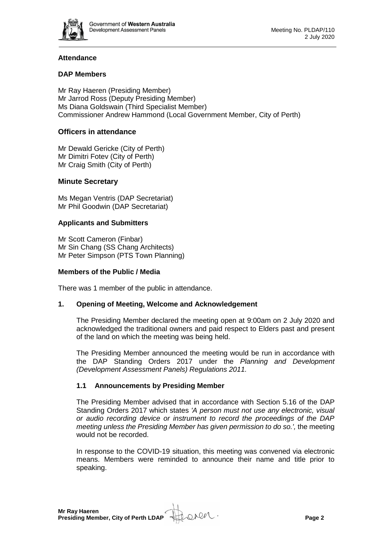

# **Attendance**

# **DAP Members**

Mr Ray Haeren (Presiding Member) Mr Jarrod Ross (Deputy Presiding Member) Ms Diana Goldswain (Third Specialist Member) Commissioner Andrew Hammond (Local Government Member, City of Perth)

# **Officers in attendance**

Mr Dewald Gericke (City of Perth) Mr Dimitri Fotev (City of Perth) Mr Craig Smith (City of Perth)

## **Minute Secretary**

Ms Megan Ventris (DAP Secretariat) Mr Phil Goodwin (DAP Secretariat)

## **Applicants and Submitters**

Mr Scott Cameron (Finbar) Mr Sin Chang (SS Chang Architects) Mr Peter Simpson (PTS Town Planning)

#### **Members of the Public / Media**

There was 1 member of the public in attendance.

## <span id="page-1-0"></span>**1. Opening of Meeting, Welcome and Acknowledgement**

The Presiding Member declared the meeting open at 9:00am on 2 July 2020 and acknowledged the traditional owners and paid respect to Elders past and present of the land on which the meeting was being held.

The Presiding Member announced the meeting would be run in accordance with the DAP Standing Orders 2017 under the *Planning and Development (Development Assessment Panels) Regulations 2011.*

## **1.1 Announcements by Presiding Member**

The Presiding Member advised that in accordance with Section 5.16 of the DAP Standing Orders 2017 which states *'A person must not use any electronic, visual or audio recording device or instrument to record the proceedings of the DAP meeting unless the Presiding Member has given permission to do so.',* the meeting would not be recorded.

In response to the COVID-19 situation, this meeting was convened via electronic means. Members were reminded to announce their name and title prior to speaking.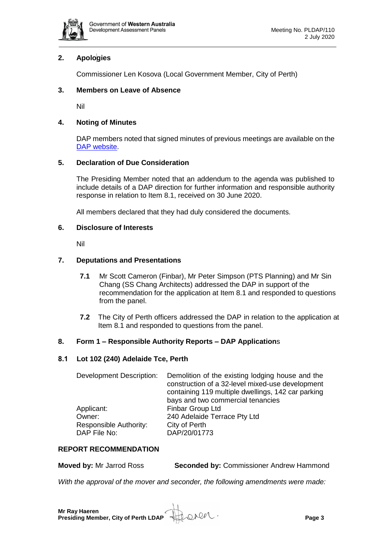

# <span id="page-2-0"></span>**2. Apologies**

Commissioner Len Kosova (Local Government Member, City of Perth)

# <span id="page-2-1"></span>**3. Members on Leave of Absence**

Nil

# <span id="page-2-2"></span>**4. Noting of Minutes**

DAP members noted that signed minutes of previous meetings are available on the [DAP website.](https://www.dplh.wa.gov.au/about/development-assessment-panels/daps-agendas-and-minutes)

# <span id="page-2-3"></span>**5. Declaration of Due Consideration**

The Presiding Member noted that an addendum to the agenda was published to include details of a DAP direction for further information and responsible authority response in relation to Item 8.1, received on 30 June 2020.

All members declared that they had duly considered the documents.

## <span id="page-2-4"></span>**6. Disclosure of Interests**

Nil

## <span id="page-2-5"></span>**7. Deputations and Presentations**

- **7.1** Mr Scott Cameron (Finbar), Mr Peter Simpson (PTS Planning) and Mr Sin Chang (SS Chang Architects) addressed the DAP in support of the recommendation for the application at Item 8.1 and responded to questions from the panel.
- **7.2** The City of Perth officers addressed the DAP in relation to the application at Item 8.1 and responded to questions from the panel.

## <span id="page-2-6"></span>**8. Form 1 – Responsible Authority Reports – DAP Application**s

## <span id="page-2-7"></span>**8.1 Lot 102 (240) Adelaide Tce, Perth**

| <b>Development Description:</b> | Demolition of the existing lodging house and the<br>construction of a 32-level mixed-use development<br>containing 119 multiple dwellings, 142 car parking<br>bays and two commercial tenancies |
|---------------------------------|-------------------------------------------------------------------------------------------------------------------------------------------------------------------------------------------------|
| Applicant:                      | Finbar Group Ltd                                                                                                                                                                                |
| Owner:                          | 240 Adelaide Terrace Pty Ltd                                                                                                                                                                    |
| <b>Responsible Authority:</b>   | City of Perth                                                                                                                                                                                   |
| DAP File No:                    | DAP/20/01773                                                                                                                                                                                    |

## **REPORT RECOMMENDATION**

**Moved by:** Mr Jarrod Ross **Seconded by:** Commissioner Andrew Hammond

*With the approval of the mover and seconder, the following amendments were made:*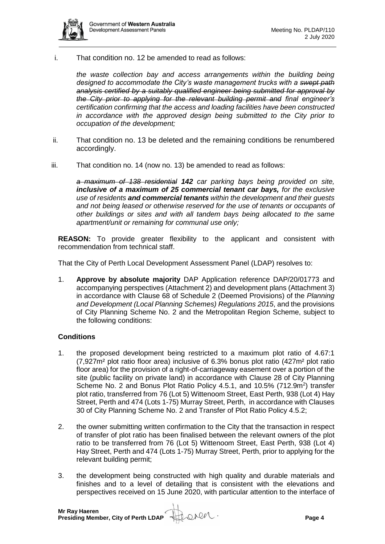

i. That condition no. 12 be amended to read as follows:

*the waste collection bay and access arrangements within the building being designed to accommodate the City's waste management trucks with a swept path analysis certified by a suitably qualified engineer being submitted for approval by the City prior to applying for the relevant building permit and final engineer's certification confirming that the access and loading facilities have been constructed in accordance with the approved design being submitted to the City prior to occupation of the development;* 

- ii. That condition no. 13 be deleted and the remaining conditions be renumbered accordingly.
- iii. That condition no. 14 (now no. 13) be amended to read as follows:

*a maximum of 138 residential 142 car parking bays being provided on site, inclusive of a maximum of 25 commercial tenant car bays, for the exclusive use of residents and commercial tenants within the development and their guests and not being leased or otherwise reserved for the use of tenants or occupants of other buildings or sites and with all tandem bays being allocated to the same apartment/unit or remaining for communal use only;*

**REASON:** To provide greater flexibility to the applicant and consistent with recommendation from technical staff.

That the City of Perth Local Development Assessment Panel (LDAP) resolves to:

1. **Approve by absolute majority** DAP Application reference DAP/20/01773 and accompanying perspectives (Attachment 2) and development plans (Attachment 3) in accordance with Clause 68 of Schedule 2 (Deemed Provisions) of the *Planning and Development (Local Planning Schemes) Regulations 2015*, and the provisions of City Planning Scheme No. 2 and the Metropolitan Region Scheme, subject to the following conditions:

## **Conditions**

- 1. the proposed development being restricted to a maximum plot ratio of 4.67:1 (7,927m² plot ratio floor area) inclusive of 6.3% bonus plot ratio (427m² plot ratio floor area) for the provision of a right-of-carriageway easement over a portion of the site (public facility on private land) in accordance with Clause 28 of City Planning Scheme No. 2 and Bonus Plot Ratio Policy 4.5.1, and 10.5% (712.9m<sup>2</sup>) transfer plot ratio, transferred from 76 (Lot 5) Wittenoom Street, East Perth, 938 (Lot 4) Hay Street, Perth and 474 (Lots 1-75) Murray Street, Perth, in accordance with Clauses 30 of City Planning Scheme No. 2 and Transfer of Plot Ratio Policy 4.5.2;
- 2. the owner submitting written confirmation to the City that the transaction in respect of transfer of plot ratio has been finalised between the relevant owners of the plot ratio to be transferred from 76 (Lot 5) Wittenoom Street, East Perth, 938 (Lot 4) Hay Street, Perth and 474 (Lots 1-75) Murray Street, Perth, prior to applying for the relevant building permit;
- 3. the development being constructed with high quality and durable materials and finishes and to a level of detailing that is consistent with the elevations and perspectives received on 15 June 2020, with particular attention to the interface of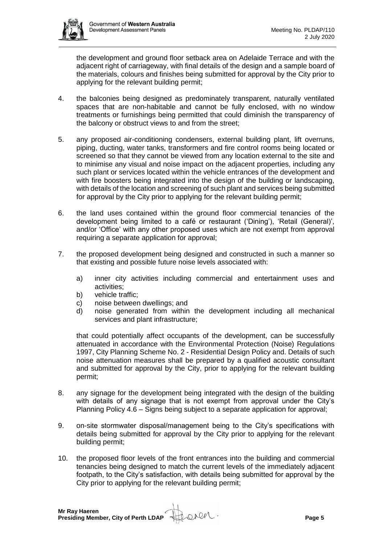

the development and ground floor setback area on Adelaide Terrace and with the adjacent right of carriageway, with final details of the design and a sample board of the materials, colours and finishes being submitted for approval by the City prior to applying for the relevant building permit;

- 4. the balconies being designed as predominately transparent, naturally ventilated spaces that are non-habitable and cannot be fully enclosed, with no window treatments or furnishings being permitted that could diminish the transparency of the balcony or obstruct views to and from the street;
- 5. any proposed air-conditioning condensers, external building plant, lift overruns, piping, ducting, water tanks, transformers and fire control rooms being located or screened so that they cannot be viewed from any location external to the site and to minimise any visual and noise impact on the adjacent properties, including any such plant or services located within the vehicle entrances of the development and with fire boosters being integrated into the design of the building or landscaping, with details of the location and screening of such plant and services being submitted for approval by the City prior to applying for the relevant building permit;
- 6. the land uses contained within the ground floor commercial tenancies of the development being limited to a café or restaurant ('Dining'), 'Retail (General)', and/or 'Office' with any other proposed uses which are not exempt from approval requiring a separate application for approval;
- 7. the proposed development being designed and constructed in such a manner so that existing and possible future noise levels associated with:
	- a) inner city activities including commercial and entertainment uses and activities;
	- b) vehicle traffic;
	- c) noise between dwellings; and
	- d) noise generated from within the development including all mechanical services and plant infrastructure;

that could potentially affect occupants of the development, can be successfully attenuated in accordance with the Environmental Protection (Noise) Regulations 1997, City Planning Scheme No. 2 - Residential Design Policy and. Details of such noise attenuation measures shall be prepared by a qualified acoustic consultant and submitted for approval by the City, prior to applying for the relevant building permit;

- 8. any signage for the development being integrated with the design of the building with details of any signage that is not exempt from approval under the City's Planning Policy 4.6 – Signs being subject to a separate application for approval;
- 9. on-site stormwater disposal/management being to the City's specifications with details being submitted for approval by the City prior to applying for the relevant building permit;
- 10. the proposed floor levels of the front entrances into the building and commercial tenancies being designed to match the current levels of the immediately adjacent footpath, to the City's satisfaction, with details being submitted for approval by the City prior to applying for the relevant building permit;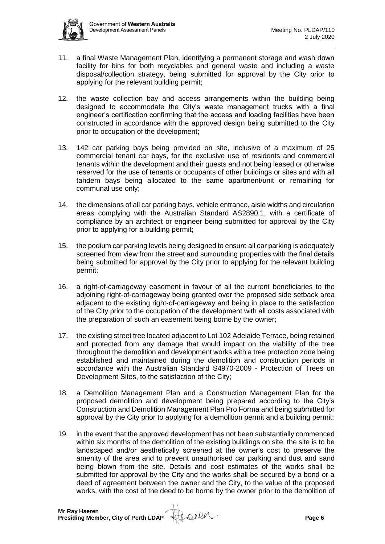- 11. a final Waste Management Plan, identifying a permanent storage and wash down facility for bins for both recyclables and general waste and including a waste disposal/collection strategy, being submitted for approval by the City prior to applying for the relevant building permit;
- 12. the waste collection bay and access arrangements within the building being designed to accommodate the City's waste management trucks with a final engineer's certification confirming that the access and loading facilities have been constructed in accordance with the approved design being submitted to the City prior to occupation of the development;
- 13. 142 car parking bays being provided on site, inclusive of a maximum of 25 commercial tenant car bays, for the exclusive use of residents and commercial tenants within the development and their guests and not being leased or otherwise reserved for the use of tenants or occupants of other buildings or sites and with all tandem bays being allocated to the same apartment/unit or remaining for communal use only;
- 14. the dimensions of all car parking bays, vehicle entrance, aisle widths and circulation areas complying with the Australian Standard AS2890.1, with a certificate of compliance by an architect or engineer being submitted for approval by the City prior to applying for a building permit;
- 15. the podium car parking levels being designed to ensure all car parking is adequately screened from view from the street and surrounding properties with the final details being submitted for approval by the City prior to applying for the relevant building permit;
- 16. a right-of-carriageway easement in favour of all the current beneficiaries to the adjoining right-of-carriageway being granted over the proposed side setback area adjacent to the existing right-of-carriageway and being in place to the satisfaction of the City prior to the occupation of the development with all costs associated with the preparation of such an easement being borne by the owner;
- 17. the existing street tree located adjacent to Lot 102 Adelaide Terrace, being retained and protected from any damage that would impact on the viability of the tree throughout the demolition and development works with a tree protection zone being established and maintained during the demolition and construction periods in accordance with the Australian Standard S4970-2009 - Protection of Trees on Development Sites, to the satisfaction of the City;
- 18. a Demolition Management Plan and a Construction Management Plan for the proposed demolition and development being prepared according to the City's Construction and Demolition Management Plan Pro Forma and being submitted for approval by the City prior to applying for a demolition permit and a building permit;
- 19. in the event that the approved development has not been substantially commenced within six months of the demolition of the existing buildings on site, the site is to be landscaped and/or aesthetically screened at the owner's cost to preserve the amenity of the area and to prevent unauthorised car parking and dust and sand being blown from the site. Details and cost estimates of the works shall be submitted for approval by the City and the works shall be secured by a bond or a deed of agreement between the owner and the City, to the value of the proposed works, with the cost of the deed to be borne by the owner prior to the demolition of